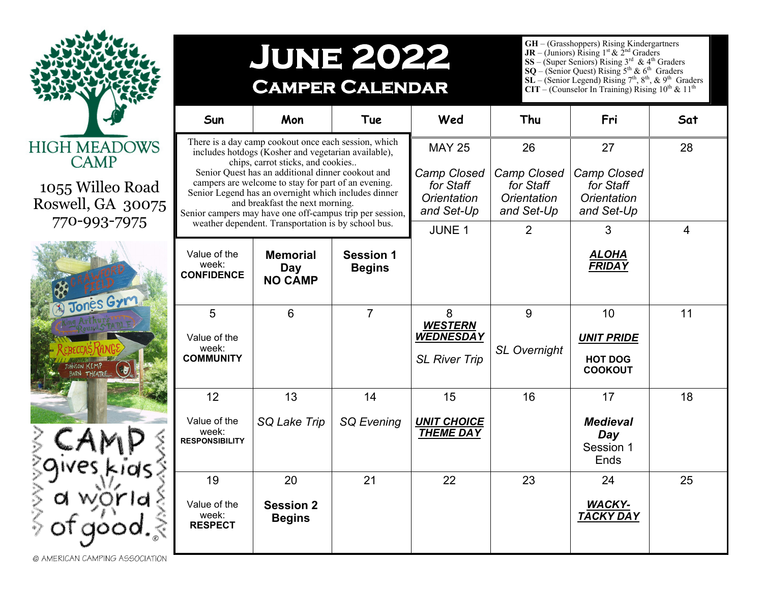

## **June 2022 Camper Calendar**

**GH** – (Grasshoppers) Rising Kindergartners<br>**JR** – (Juniors) Rising 1<sup>st</sup> & 2<sup>nd</sup> Graders

**SS** – (Super Seniors) Rising  $3^{rd}$  &  $4^{th}$  Graders

**SQ** – (Senior Quest) Rising  $5<sup>th</sup>$  &  $6<sup>th</sup>$  Graders

**SL** – (Senior Legend) Rising  $7<sup>th</sup>$ ,  $8<sup>th</sup>$ ,  $\&$   $9<sup>th</sup>$  Graders

**CIT** – (Counselor In Training) Rising  $10^{th}$  &  $11^{th}$ 

| Sun                                                                                                                                                                                                                                                                                                                                                                                                                                                                        | Mon                                             | Tue                               | Wed                                                                                            | Thu                                                                           | Fri                                                                     | Sat                  |
|----------------------------------------------------------------------------------------------------------------------------------------------------------------------------------------------------------------------------------------------------------------------------------------------------------------------------------------------------------------------------------------------------------------------------------------------------------------------------|-------------------------------------------------|-----------------------------------|------------------------------------------------------------------------------------------------|-------------------------------------------------------------------------------|-------------------------------------------------------------------------|----------------------|
| There is a day camp cookout once each session, which<br>includes hotdogs (Kosher and vegetarian available),<br>chips, carrot sticks, and cookies<br>Senior Quest has an additional dinner cookout and<br>campers are welcome to stay for part of an evening.<br>Senior Legend has an overnight which includes dinner<br>and breakfast the next morning.<br>Senior campers may have one off-campus trip per session,<br>weather dependent. Transportation is by school bus. |                                                 |                                   | <b>MAY 25</b><br><b>Camp Closed</b><br>for Staff<br><b>Orientation</b><br>and Set-Up<br>JUNE 1 | 26<br>Camp Closed<br>for Staff<br>Orientation<br>and Set-Up<br>$\overline{2}$ | 27<br><b>Camp Closed</b><br>for Staff<br>Orientation<br>and Set-Up<br>3 | 28<br>$\overline{4}$ |
| Value of the<br>week:<br><b>CONFIDENCE</b>                                                                                                                                                                                                                                                                                                                                                                                                                                 | <b>Memorial</b><br><b>Day</b><br><b>NO CAMP</b> | <b>Session 1</b><br><b>Begins</b> |                                                                                                |                                                                               | <u>ALOHA</u><br><b>FRIDAY</b>                                           |                      |
| 5<br>Value of the<br>week:<br><b>COMMUNITY</b>                                                                                                                                                                                                                                                                                                                                                                                                                             | 6                                               | $\overline{7}$                    | 8<br><b>WESTERN</b><br><b>WEDNESDAY</b><br><b>SL River Trip</b>                                | 9<br><b>SL Overnight</b>                                                      | 10<br><b>UNIT PRIDE</b><br><b>HOT DOG</b><br><b>COOKOUT</b>             | 11                   |
| 12<br>Value of the<br>week:<br><b>RESPONSIBILITY</b>                                                                                                                                                                                                                                                                                                                                                                                                                       | 13<br>SQ Lake Trip                              | 14<br><b>SQ Evening</b>           | 15<br><b>UNIT CHOICE</b><br><b>THEME DAY</b>                                                   | 16                                                                            | 17<br><b>Medieval</b><br>Day<br>Session 1<br>Ends                       | 18                   |
| 19<br>Value of the<br>week:<br><b>RESPECT</b>                                                                                                                                                                                                                                                                                                                                                                                                                              | 20<br><b>Session 2</b><br><b>Begins</b>         | 21                                | 22                                                                                             | 23                                                                            | 24<br><b>WACKY-</b><br><b>TACKY DAY</b>                                 | 25                   |

1055 Willeo Road Roswell, GA 3007 770-993-7975



@ AMERICAN CAMPING ASSOCIATION